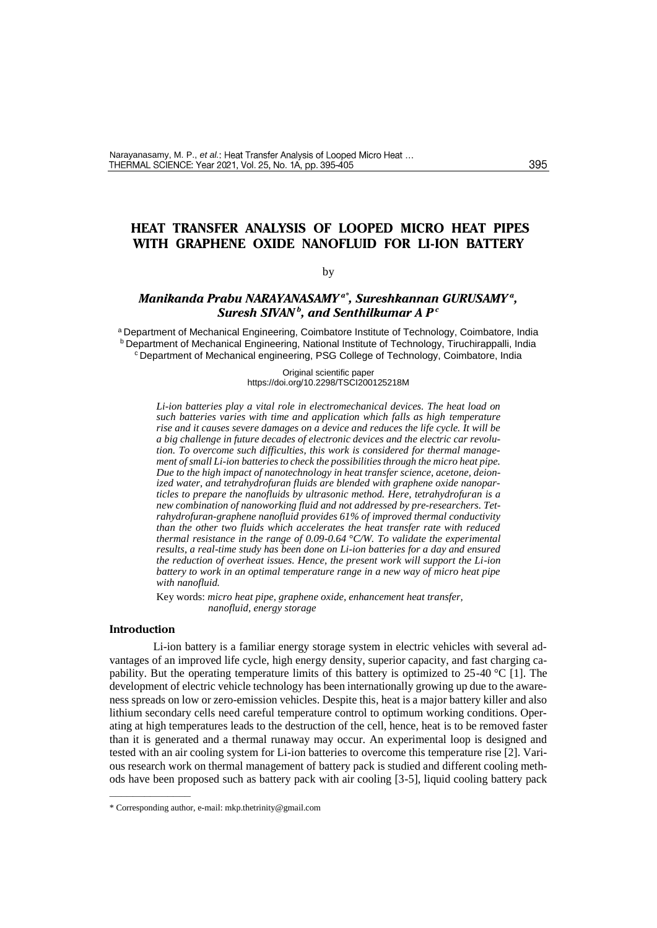# **HEAT TRANSFER ANALYSIS OF LOOPED MICRO HEAT PIPES WITH GRAPHENE OXIDE NANOFLUID FOR LI-ION BATTERY**

## by

## *Manikanda Prabu NARAYANASAMY a\* , Sureshkannan GURUSAMY <sup>a</sup> , Suresh SIVAN<sup>b</sup> , and Senthilkumar A P <sup>c</sup>*

a Department of Mechanical Engineering, Coimbatore Institute of Technology, Coimbatore, India **b** Department of Mechanical Engineering, National Institute of Technology, Tiruchirappalli, India <sup>c</sup>Department of Mechanical engineering, PSG College of Technology, Coimbatore, India

> Original scientific paper https://doi.org/10.2298/TSCI200125218M

*Li-ion batteries play a vital role in electromechanical devices. The heat load on such batteries varies with time and application which falls as high temperature rise and it causes severe damages on a device and reduces the life cycle. It will be a big challenge in future decades of electronic devices and the electric car revolution. To overcome such difficulties, this work is considered for thermal management of small Li-ion batteries to check the possibilities through the micro heat pipe. Due to the high impact of nanotechnology in heat transfer science, acetone, deionized water, and tetrahydrofuran fluids are blended with graphene oxide nanoparticles to prepare the nanofluids by ultrasonic method. Here, tetrahydrofuran is a new combination of nanoworking fluid and not addressed by pre-researchers. Tetrahydrofuran-graphene nanofluid provides 61% of improved thermal conductivity than the other two fluids which accelerates the heat transfer rate with reduced thermal resistance in the range of 0.09-0.64 °C/W. To validate the experimental results, a real-time study has been done on Li-ion batteries for a day and ensured the reduction of overheat issues. Hence, the present work will support the Li-ion battery to work in an optimal temperature range in a new way of micro heat pipe with nanofluid.*

Key words: *micro heat pipe, graphene oxide, enhancement heat transfer, nanofluid, energy storage*

## **Introduction**

––––––––––––––

Li-ion battery is a familiar energy storage system in electric vehicles with several advantages of an improved life cycle, high energy density, superior capacity, and fast charging capability. But the operating temperature limits of this battery is optimized to 25-40 °C [1]. The development of electric vehicle technology has been internationally growing up due to the awareness spreads on low or zero-emission vehicles. Despite this, heat is a major battery killer and also lithium secondary cells need careful temperature control to optimum working conditions. Operating at high temperatures leads to the destruction of the cell, hence, heat is to be removed faster than it is generated and a thermal runaway may occur. An experimental loop is designed and tested with an air cooling system for Li-ion batteries to overcome this temperature rise [2]. Various research work on thermal management of battery pack is studied and different cooling methods have been proposed such as battery pack with air cooling [3-5], liquid cooling battery pack

<sup>\*</sup> Corresponding author, e-mail: [mkp.thetrinity@gmail.com](mailto:mkp.thetrinity@gmail.com)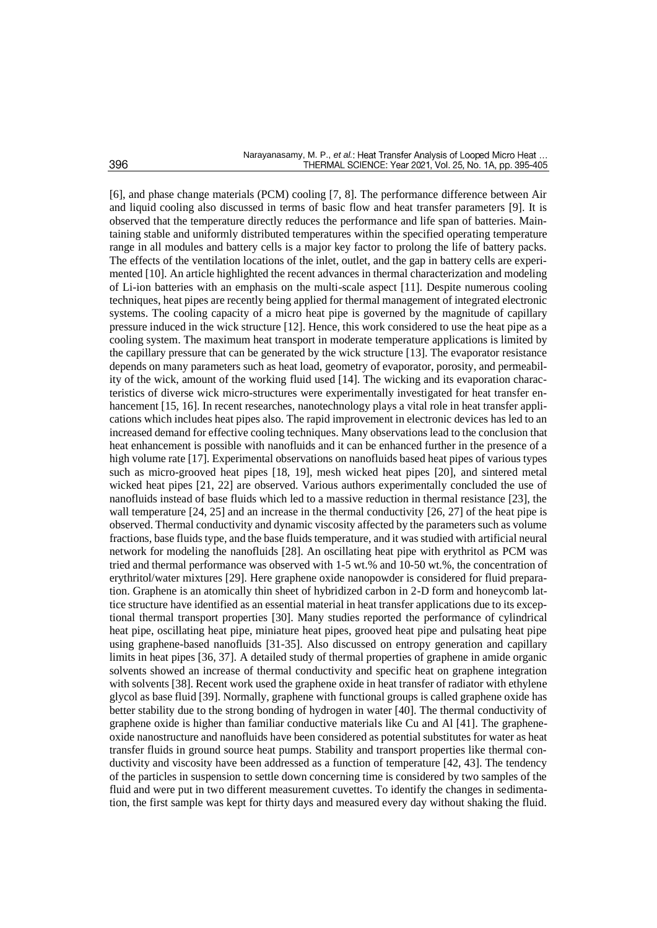[6], and phase change materials (PCM) cooling [7, 8]. The performance difference between Air and liquid cooling also discussed in terms of basic flow and heat transfer parameters [9]. It is observed that the temperature directly reduces the performance and life span of batteries. Maintaining stable and uniformly distributed temperatures within the specified operating temperature range in all modules and battery cells is a major key factor to prolong the life of battery packs. The effects of the ventilation locations of the inlet, outlet, and the gap in battery cells are experimented [10]. An article highlighted the recent advances in thermal characterization and modeling of Li-ion batteries with an emphasis on the multi-scale aspect [11]. Despite numerous cooling techniques, heat pipes are recently being applied for thermal management of integrated electronic systems. The cooling capacity of a micro heat pipe is governed by the magnitude of capillary pressure induced in the wick structure [12]. Hence, this work considered to use the heat pipe as a cooling system. The maximum heat transport in moderate temperature applications is limited by the capillary pressure that can be generated by the wick structure [13]. The evaporator resistance depends on many parameters such as heat load, geometry of evaporator, porosity, and permeability of the wick, amount of the working fluid used [14]. The wicking and its evaporation characteristics of diverse wick micro-structures were experimentally investigated for heat transfer enhancement [15, 16]. In recent researches, nanotechnology plays a vital role in heat transfer applications which includes heat pipes also. The rapid improvement in electronic devices has led to an increased demand for effective cooling techniques. Many observations lead to the conclusion that heat enhancement is possible with nanofluids and it can be enhanced further in the presence of a high volume rate [17]. Experimental observations on nanofluids based heat pipes of various types such as micro-grooved heat pipes [18, 19], mesh wicked heat pipes [20], and sintered metal wicked heat pipes [21, 22] are observed. Various authors experimentally concluded the use of nanofluids instead of base fluids which led to a massive reduction in thermal resistance [23], the wall temperature [24, 25] and an increase in the thermal conductivity [26, 27] of the heat pipe is observed. Thermal conductivity and dynamic viscosity affected by the parameters such as volume fractions, base fluids type, and the base fluids temperature, and it was studied with artificial neural network for modeling the nanofluids [28]. An oscillating heat pipe with erythritol as PCM was tried and thermal performance was observed with 1-5 wt.% and 10-50 wt.%, the concentration of erythritol/water mixtures [29]. Here graphene oxide nanopowder is considered for fluid preparation. Graphene is an atomically thin sheet of hybridized carbon in 2-D form and honeycomb lattice structure have identified as an essential material in heat transfer applications due to its exceptional thermal transport properties [30]. Many studies reported the performance of cylindrical heat pipe, oscillating heat pipe, miniature heat pipes, grooved heat pipe and pulsating heat pipe using graphene-based nanofluids [31-35]. Also discussed on entropy generation and capillary limits in heat pipes [36, 37]. A detailed study of thermal properties of graphene in amide organic solvents showed an increase of thermal conductivity and specific heat on graphene integration with solvents [38]. Recent work used the graphene oxide in heat transfer of radiator with ethylene glycol as base fluid [39]. Normally, graphene with functional groups is called graphene oxide has better stability due to the strong bonding of hydrogen in water [40]. The thermal conductivity of graphene oxide is higher than familiar conductive materials like Cu and Al [41]. The grapheneoxide nanostructure and nanofluids have been considered as potential substitutes for water as heat transfer fluids in ground source heat pumps. Stability and transport properties like thermal conductivity and viscosity have been addressed as a function of temperature [42, 43]. The tendency of the particles in suspension to settle down concerning time is considered by two samples of the fluid and were put in two different measurement cuvettes. To identify the changes in sedimentation, the first sample was kept for thirty days and measured every day without shaking the fluid.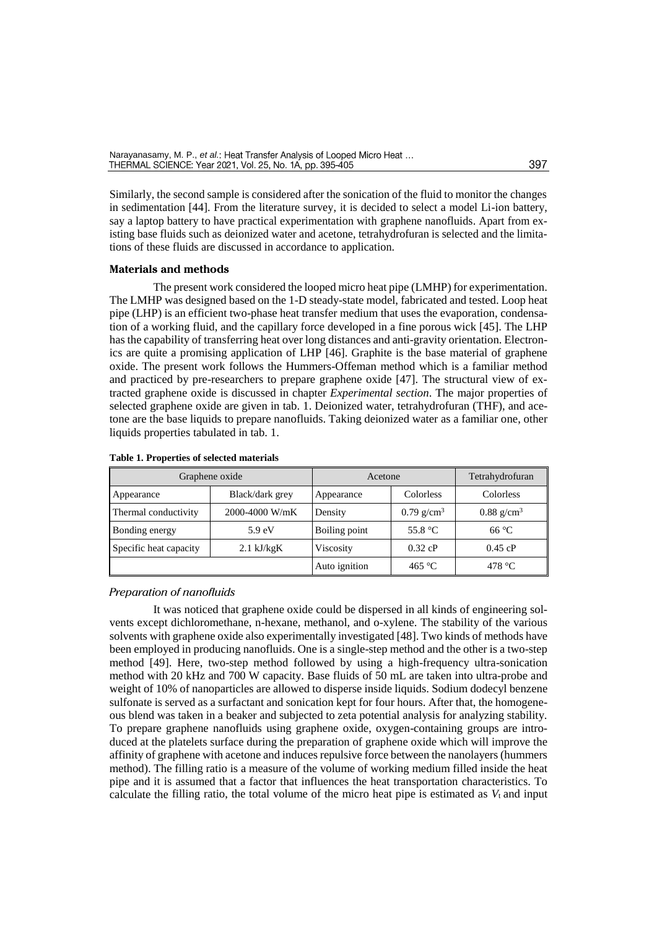Similarly, the second sample is considered after the sonication of the fluid to monitor the changes in sedimentation [44]. From the literature survey, it is decided to select a model Li-ion battery, say a laptop battery to have practical experimentation with graphene nanofluids. Apart from existing base fluids such as deionized water and acetone, tetrahydrofuran is selected and the limitations of these fluids are discussed in accordance to application.

### **Materials and methods**

The present work considered the looped micro heat pipe (LMHP) for experimentation. The LMHP was designed based on the 1-D steady-state model, fabricated and tested. Loop heat pipe (LHP) is an efficient two-phase heat transfer medium that uses the evaporation, condensation of a working fluid, and the capillary force developed in a fine porous wick [45]. The LHP has the capability of transferring heat over long distances and anti-gravity orientation. Electronics are quite a promising application of LHP [46]. Graphite is the base material of graphene oxide. The present work follows the Hummers-Offeman method which is a familiar method and practiced by pre-researchers to prepare graphene oxide [47]. The structural view of extracted graphene oxide is discussed in chapter *Experimental section*. The major properties of selected graphene oxide are given in tab. 1. Deionized water, tetrahydrofuran (THF), and acetone are the base liquids to prepare nanofluids. Taking deionized water as a familiar one, other liquids properties tabulated in tab. 1.

| Graphene oxide         |                      | Acetone       |                   | Tetrahydrofuran          |  |
|------------------------|----------------------|---------------|-------------------|--------------------------|--|
| Appearance             | Black/dark grey      | Appearance    | Colorless         | Colorless                |  |
| Thermal conductivity   | 2000-4000 W/mK       | Density       | 0.79 $g/cm^3$     | $0.88$ g/cm <sup>3</sup> |  |
| Bonding energy         | 5.9 eV               | Boiling point | 55.8 $^{\circ}$ C | $66^{\circ}$ C           |  |
| Specific heat capacity | $2.1 \text{ kJ/kgK}$ | Viscosity     | $0.32$ cP         | $0.45$ cP                |  |
|                        |                      | Auto ignition | 465 °C            | 478 $\degree$ C          |  |

### **Table 1. Properties of selected materials**

#### *Preparation of nanofluids*

It was noticed that graphene oxide could be dispersed in all kinds of engineering solvents except dichloromethane, n-hexane, methanol, and o-xylene. The stability of the various solvents with graphene oxide also experimentally investigated [48]. Two kinds of methods have been employed in producing nanofluids. One is a single-step method and the other is a two-step method [49]. Here, two-step method followed by using a high-frequency ultra-sonication method with 20 kHz and 700 W capacity. Base fluids of 50 mL are taken into ultra-probe and weight of 10% of nanoparticles are allowed to disperse inside liquids. Sodium dodecyl benzene sulfonate is served as a surfactant and sonication kept for four hours. After that, the homogeneous blend was taken in a beaker and subjected to zeta potential analysis for analyzing stability. To prepare graphene nanofluids using graphene oxide, oxygen-containing groups are introduced at the platelets surface during the preparation of graphene oxide which will improve the affinity of graphene with acetone and induces repulsive force between the nanolayers (hummers method). The filling ratio is a measure of the volume of working medium filled inside the heat pipe and it is assumed that a factor that influences the heat transportation characteristics. To calculate the filling ratio, the total volume of the micro heat pipe is estimated as  $V_t$  and input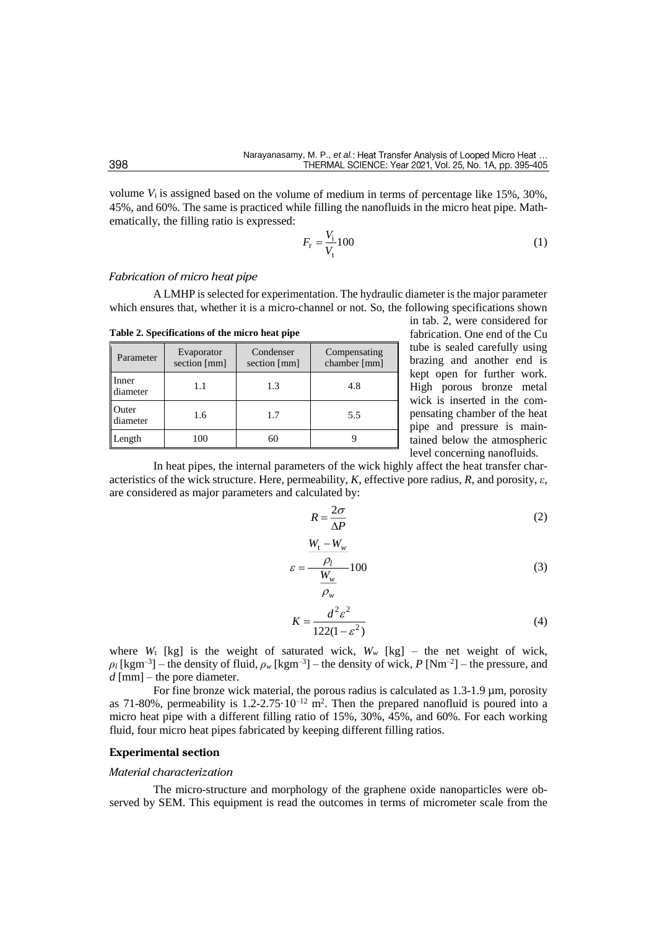volume *V*<sup>i</sup> is assigned based on the volume of medium in terms of percentage like 15%, 30%, 45%, and 60%. The same is practiced while filling the nanofluids in the micro heat pipe. Mathematically, the filling ratio is expressed:

$$
F_{\rm r} = \frac{V_{\rm i}}{V_{\rm t}} 100 \tag{1}
$$

#### *Fabrication of micro heat pipe*

A LMHP is selected for experimentation. The hydraulic diameter is the major parameter which ensures that, whether it is a micro-channel or not. So, the following specifications shown

| Parameter         | Evaporator<br>section [mm] | Condenser<br>section [mm] | Compensating<br>chamber [mm] |
|-------------------|----------------------------|---------------------------|------------------------------|
| Inner<br>diameter | 1.1                        | 1.3                       | 4.8                          |
| Outer<br>diameter | 1.6                        | 1.7                       | 5.5                          |
| Length            | 100                        | 60                        |                              |

**Table 2. Specifications of the micro heat pipe**

in tab. 2, were considered for fabrication. One end of the Cu tube is sealed carefully using brazing and another end is kept open for further work. High porous bronze metal wick is inserted in the compensating chamber of the heat pipe and pressure is maintained below the atmospheric level concerning nanofluids.

In heat pipes, the internal parameters of the wick highly affect the heat transfer characteristics of the wick structure. Here, permeability, *K*, effective pore radius, *R*, and porosity, *ε*, are considered as major parameters and calculated by:

$$
R = \frac{2\sigma}{\Delta P} \tag{2}
$$

$$
\varepsilon = \frac{\frac{W_{t} - W_{w}}{\rho_{w}}}{\frac{W_{w}}{\rho_{w}}} 100
$$
\n(3)

$$
K = \frac{d^2 \varepsilon^2}{122(1 - \varepsilon^2)}
$$
(4)

where  $W_t$  [kg] is the weight of saturated wick,  $W_w$  [kg] – the net weight of wick,  $\rho_l$  [kgm<sup>-3</sup>] – the density of fluid,  $\rho_w$  [kgm<sup>-3</sup>] – the density of wick, *P* [Nm<sup>-2</sup>] – the pressure, and *d* [mm] – the pore diameter.

For fine bronze wick material, the porous radius is calculated as 1.3-1.9 µm, porosity as 71-80%, permeability is  $1.2$ -2.75 $\cdot 10^{-12}$  m<sup>2</sup>. Then the prepared nanofluid is poured into a micro heat pipe with a different filling ratio of 15%, 30%, 45%, and 60%. For each working fluid, four micro heat pipes fabricated by keeping different filling ratios.

## **Experimental section**

### *Material characterization*

The micro-structure and morphology of the graphene oxide nanoparticles were observed by SEM. This equipment is read the outcomes in terms of micrometer scale from the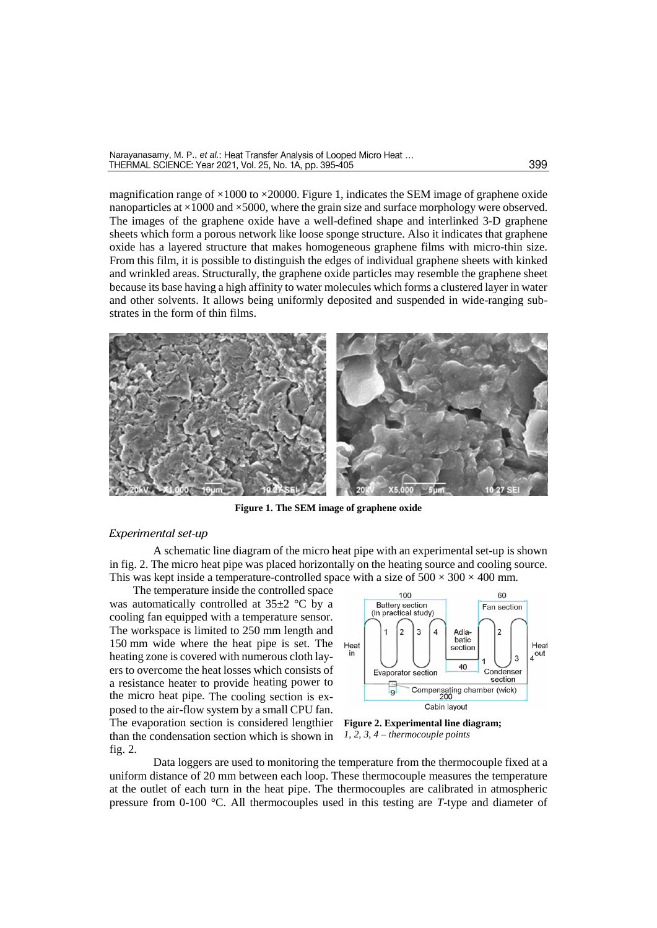magnification range of  $\times$ 1000 to  $\times$ 20000. Figure 1, indicates the SEM image of graphene oxide nanoparticles at  $\times$ 1000 and  $\times$ 5000, where the grain size and surface morphology were observed. The images of the graphene oxide have a well-defined shape and interlinked 3-D graphene sheets which form a porous network like loose sponge structure. Also it indicates that graphene oxide has a layered structure that makes homogeneous graphene films with micro-thin size. From this film, it is possible to distinguish the edges of individual graphene sheets with kinked and wrinkled areas. Structurally, the graphene oxide particles may resemble the graphene sheet because its base having a high affinity to water molecules which forms a clustered layer in water and other solvents. It allows being uniformly deposited and suspended in wide-ranging substrates in the form of thin films.



**Figure 1. The SEM image of graphene oxide**

#### *Experimental set-up*

A schematic line diagram of the micro heat pipe with an experimental set-up is shown in fig. 2. The micro heat pipe was placed horizontally on the heating source and cooling source. This was kept inside a temperature-controlled space with a size of  $500 \times 300 \times 400$  mm.

The temperature inside the controlled space was automatically controlled at  $35\pm2$  °C by a cooling fan equipped with a temperature sensor. The workspace is limited to 250 mm length and 150 mm wide where the heat pipe is set. The heating zone is covered with numerous cloth layers to overcome the heat losses which consists of a resistance heater to provide heating power to the micro heat pipe. The cooling section is exposed to the air-flow system by a small CPU fan. The evaporation section is considered lengthier than the condensation section which is shown in fig. 2.



**Figure 2. Experimental line diagram;**  *1, 2, 3, 4 – thermocouple points*

Data loggers are used to monitoring the temperature from the thermocouple fixed at a uniform distance of 20 mm between each loop. These thermocouple measures the temperature at the outlet of each turn in the heat pipe. The thermocouples are calibrated in atmospheric pressure from 0-100 °C. All thermocouples used in this testing are *T*-type and diameter of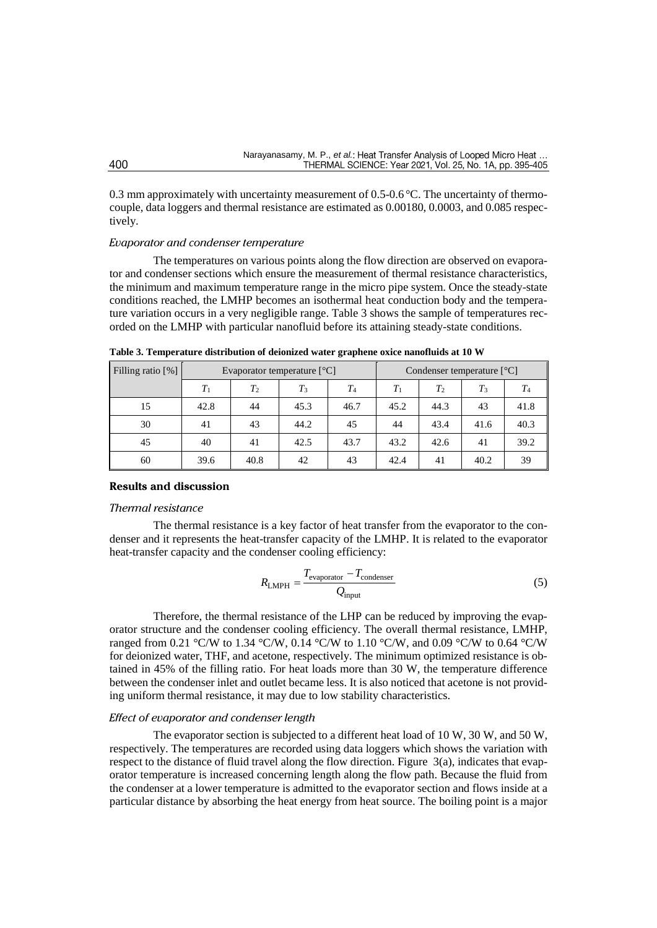0.3 mm approximately with uncertainty measurement of  $0.5$ - $0.6$  °C. The uncertainty of thermocouple, data loggers and thermal resistance are estimated as 0.00180, 0.0003, and 0.085 respectively.

## *Evaporator and condenser temperature*

The temperatures on various points along the flow direction are observed on evaporator and condenser sections which ensure the measurement of thermal resistance characteristics, the minimum and maximum temperature range in the micro pipe system. Once the steady-state conditions reached, the LMHP becomes an isothermal heat conduction body and the temperature variation occurs in a very negligible range. Table 3 shows the sample of temperatures recorded on the LMHP with particular nanofluid before its attaining steady-state conditions.

| Filling ratio [%] | Evaporator temperature $[^{\circ}C]$ |                |       | Condenser temperature $[^{\circ}C]$ |       |                |       |         |
|-------------------|--------------------------------------|----------------|-------|-------------------------------------|-------|----------------|-------|---------|
|                   | $T_1$                                | T <sub>2</sub> | $T_3$ | $T_{4}$                             | $T_1$ | T <sub>2</sub> | $T_3$ | $T_{4}$ |
| 15                | 42.8                                 | 44             | 45.3  | 46.7                                | 45.2  | 44.3           | 43    | 41.8    |
| 30                | 41                                   | 43             | 44.2  | 45                                  | 44    | 43.4           | 41.6  | 40.3    |
| 45                | 40                                   | 41             | 42.5  | 43.7                                | 43.2  | 42.6           | 41    | 39.2    |
| 60                | 39.6                                 | 40.8           | 42    | 43                                  | 42.4  | 41             | 40.2  | 39      |

**Table 3. Temperature distribution of deionized water graphene oxice nanofluids at 10 W**

## **Results and discussion**

#### *Thermal resistance*

The thermal resistance is a key factor of heat transfer from the evaporator to the condenser and it represents the heat-transfer capacity of the LMHP. It is related to the evaporator heat-transfer capacity and the condenser cooling efficiency:

$$
R_{\text{LMPH}} = \frac{T_{\text{evaporator}} - T_{\text{condenser}}}{Q_{\text{input}}}
$$
 (5)

Therefore, the thermal resistance of the LHP can be reduced by improving the evaporator structure and the condenser cooling efficiency. The overall thermal resistance, LMHP, ranged from 0.21 °C/W to 1.34 °C/W, 0.14 °C/W to 1.10 °C/W, and 0.09 °C/W to 0.64 °C/W for deionized water, THF, and acetone, respectively. The minimum optimized resistance is obtained in 45% of the filling ratio. For heat loads more than 30 W, the temperature difference between the condenser inlet and outlet became less. It is also noticed that acetone is not providing uniform thermal resistance, it may due to low stability characteristics.

## *Effect of evaporator and condenser length*

The evaporator section is subjected to a different heat load of 10 W, 30 W, and 50 W, respectively. The temperatures are recorded using data loggers which shows the variation with respect to the distance of fluid travel along the flow direction. Figure 3(a), indicates that evaporator temperature is increased concerning length along the flow path. Because the fluid from the condenser at a lower temperature is admitted to the evaporator section and flows inside at a particular distance by absorbing the heat energy from heat source. The boiling point is a major

400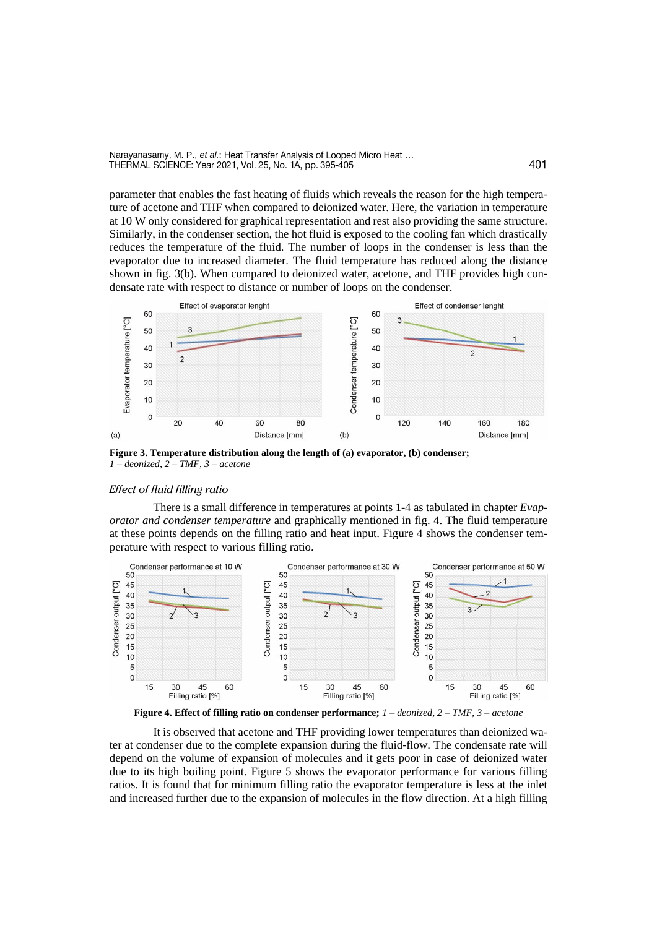parameter that enables the fast heating of fluids which reveals the reason for the high temperature of acetone and THF when compared to deionized water. Here, the variation in temperature at 10 W only considered for graphical representation and rest also providing the same structure. Similarly, in the condenser section, the hot fluid is exposed to the cooling fan which drastically reduces the temperature of the fluid. The number of loops in the condenser is less than the evaporator due to increased diameter. The fluid temperature has reduced along the distance shown in fig. 3(b). When compared to deionized water, acetone, and THF provides high condensate rate with respect to distance or number of loops on the condenser.



**Figure 3. Temperature distribution along the length of (a) evaporator, (b) condenser;**  *1 – deonized, 2 – TMF, 3 – acetone*

## *Effect of fluid filling ratio*

There is a small difference in temperatures at points 1-4 as tabulated in chapter *Evaporator and condenser temperature* and graphically mentioned in fig. 4. The fluid temperature at these points depends on the filling ratio and heat input. Figure 4 shows the condenser temperature with respect to various filling ratio.



It is observed that acetone and THF providing lower temperatures than deionized water at condenser due to the complete expansion during the fluid-flow. The condensate rate will depend on the volume of expansion of molecules and it gets poor in case of deionized water due to its high boiling point. Figure 5 shows the evaporator performance for various filling ratios. It is found that for minimum filling ratio the evaporator temperature is less at the inlet and increased further due to the expansion of molecules in the flow direction. At a high filling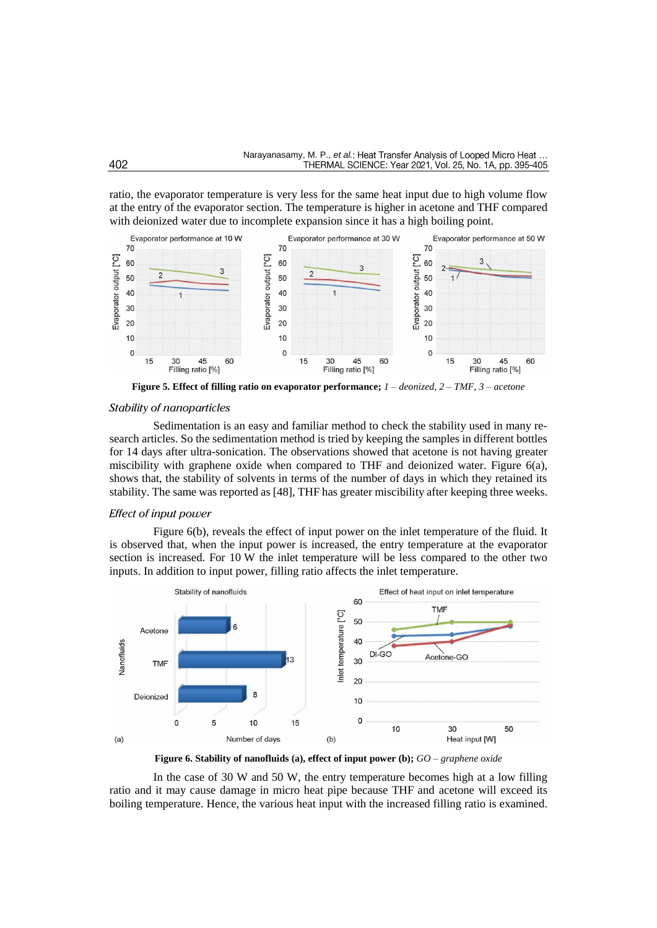ratio, the evaporator temperature is very less for the same heat input due to high volume flow at the entry of the evaporator section. The temperature is higher in acetone and THF compared with deionized water due to incomplete expansion since it has a high boiling point.



**Figure 5. Effect of filling ratio on evaporator performance;** *1 – deonized, 2 – TMF, 3 – acetone*

#### *Stability of nanoparticles*

Sedimentation is an easy and familiar method to check the stability used in many research articles. So the sedimentation method is tried by keeping the samples in different bottles for 14 days after ultra-sonication. The observations showed that acetone is not having greater miscibility with graphene oxide when compared to THF and deionized water. Figure 6(a), shows that, the stability of solvents in terms of the number of days in which they retained its stability. The same was reported as [48], THF has greater miscibility after keeping three weeks.

## *Effect of input power*

Figure 6(b), reveals the effect of input power on the inlet temperature of the fluid. It is observed that, when the input power is increased, the entry temperature at the evaporator section is increased. For 10 W the inlet temperature will be less compared to the other two inputs. In addition to input power, filling ratio affects the inlet temperature.



**Figure 6. Stability of nanofluids (a), effect of input power (b);** *GO – graphene oxide*

In the case of 30 W and 50 W, the entry temperature becomes high at a low filling ratio and it may cause damage in micro heat pipe because THF and acetone will exceed its boiling temperature. Hence, the various heat input with the increased filling ratio is examined.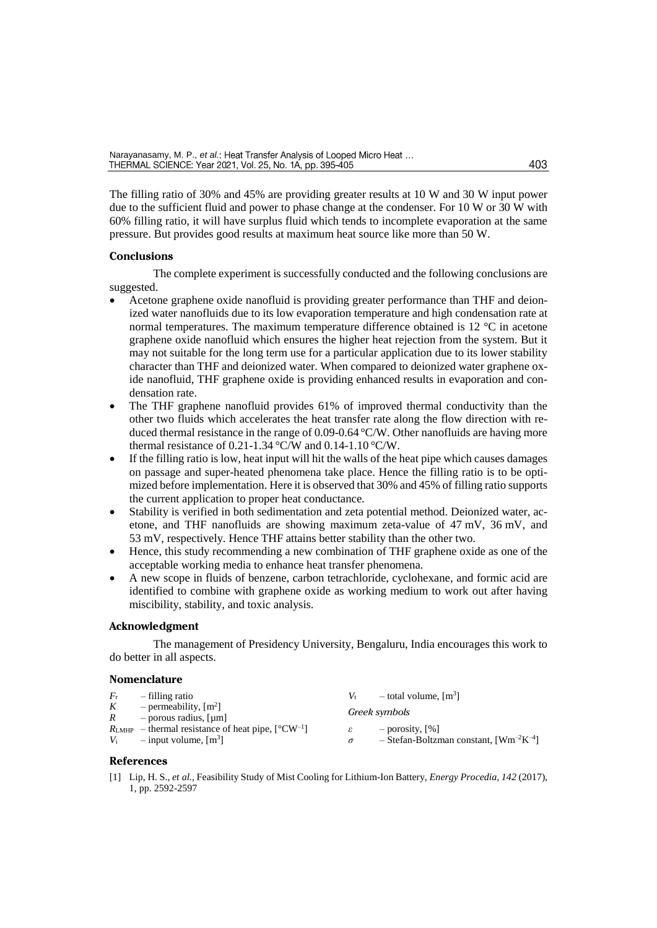The filling ratio of 30% and 45% are providing greater results at 10 W and 30 W input power due to the sufficient fluid and power to phase change at the condenser. For 10 W or 30 W with 60% filling ratio, it will have surplus fluid which tends to incomplete evaporation at the same pressure. But provides good results at maximum heat source like more than 50 W.

## **Conclusions**

The complete experiment is successfully conducted and the following conclusions are suggested.

- Acetone graphene oxide nanofluid is providing greater performance than THF and deionized water nanofluids due to its low evaporation temperature and high condensation rate at normal temperatures. The maximum temperature difference obtained is 12 °C in acetone graphene oxide nanofluid which ensures the higher heat rejection from the system. But it may not suitable for the long term use for a particular application due to its lower stability character than THF and deionized water. When compared to deionized water graphene oxide nanofluid, THF graphene oxide is providing enhanced results in evaporation and condensation rate.
- The THF graphene nanofluid provides 61% of improved thermal conductivity than the other two fluids which accelerates the heat transfer rate along the flow direction with reduced thermal resistance in the range of  $0.09$ - $0.64$  °C/W. Other nanofluids are having more thermal resistance of 0.21-1.34 °C/W and 0.14-1.10 °C/W.
- If the filling ratio is low, heat input will hit the walls of the heat pipe which causes damages on passage and super-heated phenomena take place. Hence the filling ratio is to be optimized before implementation. Here it is observed that 30% and 45% of filling ratio supports the current application to proper heat conductance.
- Stability is verified in both sedimentation and zeta potential method. Deionized water, acetone, and THF nanofluids are showing maximum zeta-value of 47 mV, 36 mV, and 53 mV, respectively. Hence THF attains better stability than the other two.
- Hence, this study recommending a new combination of THF graphene oxide as one of the acceptable working media to enhance heat transfer phenomena.
- A new scope in fluids of benzene, carbon tetrachloride, cyclohexane, and formic acid are identified to combine with graphene oxide as working medium to work out after having miscibility, stability, and toxic analysis.

#### **Acknowledgment**

The management of Presidency University, Bengaluru, India encourages this work to do better in all aspects.

### **Nomenclature**

| $F_{r}$      | - filling ratio                                                                                           | $V_{\rm t}$                                 | $=$ total volume, $[m3]$                                                          |
|--------------|-----------------------------------------------------------------------------------------------------------|---------------------------------------------|-----------------------------------------------------------------------------------|
| $\mathbf{K}$ | - permeability, $\lceil m^2 \rceil$<br>$R =$ porous radius, [µm]                                          |                                             | Greek symbols                                                                     |
|              | $R_{\text{LMHP}}$ – thermal resistance of heat pipe, $[^{\circ}CW^{-1}]$<br>$V_i$ = input volume, $[m^3]$ | $\varepsilon$ and $\varepsilon$<br>$\sigma$ | $-$ porosity, $\lceil \% \rceil$<br>- Stefan-Boltzman constant, $[Wm^{-2}K^{-4}]$ |

## **References**

[1] Lip, H. S., *et al.,* Feasibility Study of Mist Cooling for Lithium-Ion Battery, *Energy Procedia, 142* (2017), 1, pp. 2592-2597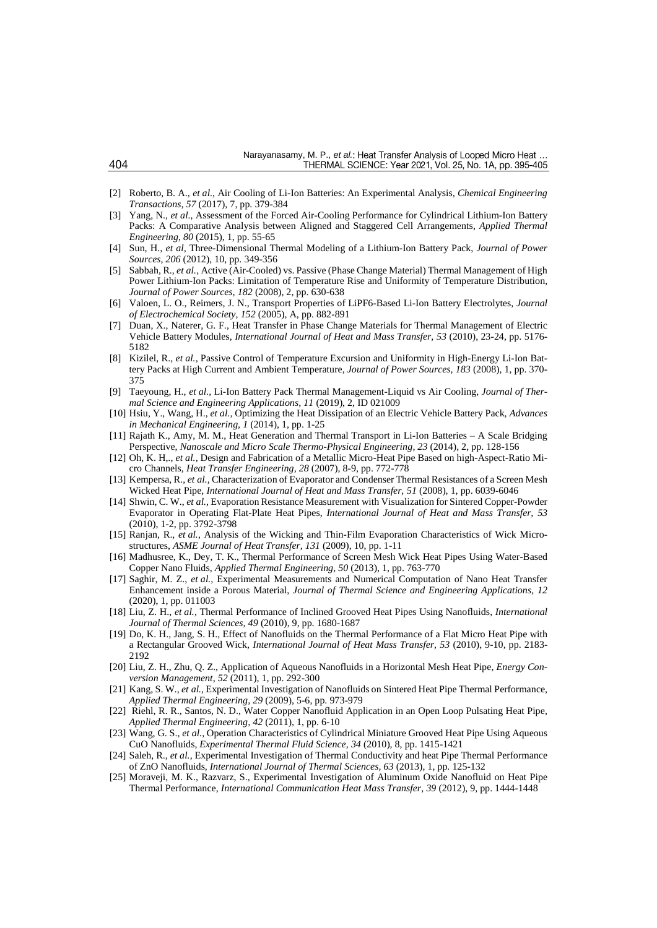- [2] Roberto, B. A., *et al.,* Air Cooling of Li-Ion Batteries: An Experimental Analysis, *Chemical Engineering Transactions, 57* (2017), 7, pp. 379-384
- [3] Yang, N., *et al.*, Assessment of the Forced Air-Cooling Performance for Cylindrical Lithium-Ion Battery Packs: A Comparative Analysis between Aligned and Staggered Cell Arrangements, *Applied Thermal Engineering*, *80* (2015), 1, pp. 55-65
- [4] Sun, H., *et al,* Three-Dimensional Thermal Modeling of a Lithium-Ion Battery Pack, *Journal of Power Sources, 206* (2012), 10, pp. 349-356
- [5] Sabbah, R., *et al.,* Active (Air-Cooled) vs. Passive (Phase Change Material) Thermal Management of High Power Lithium-Ion Packs: Limitation of Temperature Rise and Uniformity of Temperature Distribution, *Journal of Power Sources*, *182* (2008), 2, pp. 630-638
- [6] Valoen, L. O., Reimers, J. N., Transport Properties of LiPF6-Based Li-Ion Battery Electrolytes, *Journal of Electrochemical Society*, *152* (2005), A, pp. 882-891
- [7] Duan, X., Naterer, G. F., Heat Transfer in Phase Change Materials for Thermal Management of Electric Vehicle Battery Modules, *International Journal of Heat and Mass Transfer, 53* (2010), 23-24, pp. 5176- 5182
- [8] Kizilel, R., *et al.,* Passive Control of Temperature Excursion and Uniformity in High-Energy Li-Ion Battery Packs at High Current and Ambient Temperature, *Journal of Power Sources, 183* (2008), 1, pp. 370- 375
- [9] Taeyoung, H., *et al.,* Li-Ion Battery Pack Thermal Management-Liquid vs Air Cooling, *Journal of Thermal Science and Engineering Applications, 11* (2019), 2, ID 021009
- [10] Hsiu, Y., Wang, H., *et al.,* Optimizing the Heat Dissipation of an Electric Vehicle Battery Pack, *Advances in Mechanical Engineering, 1* (2014), 1, pp. 1-25
- [11] Rajath K., Amy, M. M., Heat Generation and Thermal Transport in Li-Ion Batteries A Scale Bridging Perspective, *Nanoscale and Micro Scale Thermo-Physical Engineering, 23* (2014), 2, pp. 128-156
- [12] Oh, K. H,., *et al.,* Design and Fabrication of a Metallic Micro-Heat Pipe Based on high-Aspect-Ratio Micro Channels, *Heat Transfer Engineering, 28* (2007), 8-9, pp. 772-778
- [13] Kempersa, R., *et al.,* Characterization of Evaporator and Condenser Thermal Resistances of a Screen Mesh Wicked Heat Pipe, *International Journal of Heat and Mass Transfer, 51* (2008), 1, pp. 6039-6046
- [14] Shwin, C. W., *et al.,* Evaporation Resistance Measurement with Visualization for Sintered Copper-Powder Evaporator in Operating Flat-Plate Heat Pipes, *International Journal of Heat and Mass Transfer, 53* (2010), 1-2, pp. 3792-3798
- [15] Ranjan, R., *et al.,* Analysis of the Wicking and Thin-Film Evaporation Characteristics of Wick Microstructures, *ASME Journal of Heat Transfer*, *131* (2009), 10, pp. 1-11
- [16] Madhusree, K., Dey, T. K., Thermal Performance of Screen Mesh Wick Heat Pipes Using Water-Based Copper Nano Fluids, *Applied Thermal Engineering, 50* (2013), 1, pp. 763-770
- [17] Saghir, M. Z., *et al.,* Experimental Measurements and Numerical Computation of Nano Heat Transfer Enhancement inside a Porous Material, *Journal of Thermal Science and Engineering Applications, 12* (2020), 1, pp. 011003
- [18] Liu, Z. H., *et al.,* Thermal Performance of Inclined Grooved Heat Pipes Using Nanofluids, *International Journal of Thermal Sciences, 49* (2010), 9, pp. 1680-1687
- [19] Do, K. H., Jang, S. H., Effect of Nanofluids on the Thermal Performance of a Flat Micro Heat Pipe with a Rectangular Grooved Wick, *International Journal of Heat Mass Transfer, 53* (2010), 9-10, pp. 2183- 2192
- [20] Liu, Z. H., Zhu, Q. Z., Application of Aqueous Nanofluids in a Horizontal Mesh Heat Pipe, *Energy Conversion Management*, *52* (2011), 1, pp. 292-300
- [21] Kang, S. W., *et al.,* Experimental Investigation of Nanofluids on Sintered Heat Pipe Thermal Performance, *Applied Thermal Engineering, 29* (2009), 5-6, pp. 973-979
- [22] Riehl, R. R., Santos, N. D., Water Copper Nanofluid Application in an Open Loop Pulsating Heat Pipe, *Applied Thermal Engineering, 42* (2011), 1, pp. 6-10
- [23] Wang, G. S., *et al.,* Operation Characteristics of Cylindrical Miniature Grooved Heat Pipe Using Aqueous CuO Nanofluids, *Experimental Thermal Fluid Science, 34* (2010), 8, pp. 1415-1421
- [24] Saleh, R., *et al.,* Experimental Investigation of Thermal Conductivity and heat Pipe Thermal Performance of ZnO Nanofluids, *International Journal of Thermal Sciences, 63* (2013), 1, pp. 125-132
- [25] Moraveji, M. K., Razvarz, S., Experimental Investigation of Aluminum Oxide Nanofluid on Heat Pipe Thermal Performance, *International Communication Heat Mass Transfer*, *39* (2012), 9, pp. 1444-1448